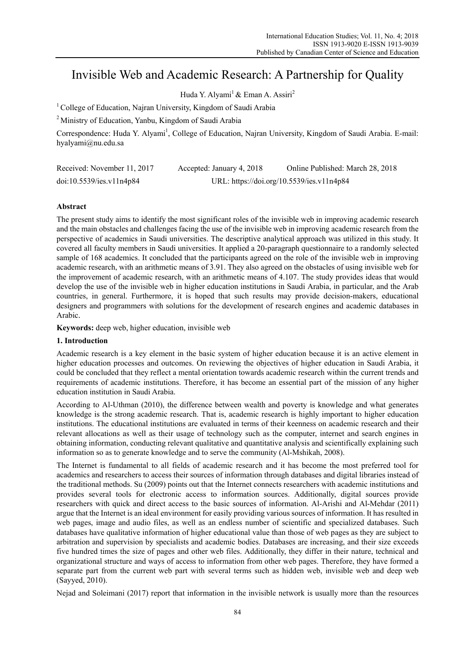# Invisible Web and Academic Research: A Partnership for Quality

Huda Y. Alyami<sup>1</sup> & Eman A. Assiri<sup>2</sup>

<sup>1</sup> College of Education, Najran University, Kingdom of Saudi Arabia

2 Ministry of Education, Yanbu, Kingdom of Saudi Arabia

Correspondence: Huda Y. Alyami<sup>1</sup>, College of Education, Najran University, Kingdom of Saudi Arabia. E-mail: hyalyami@nu.edu.sa

| Received: November 11, 2017 | Accepted: January 4, 2018                 | Online Published: March 28, 2018 |
|-----------------------------|-------------------------------------------|----------------------------------|
| doi:10.5539/ies.v11n4p84    | URL: https://doi.org/10.5539/ies.v11n4p84 |                                  |

# **Abstract**

The present study aims to identify the most significant roles of the invisible web in improving academic research and the main obstacles and challenges facing the use of the invisible web in improving academic research from the perspective of academics in Saudi universities. The descriptive analytical approach was utilized in this study. It covered all faculty members in Saudi universities. It applied a 20-paragraph questionnaire to a randomly selected sample of 168 academics. It concluded that the participants agreed on the role of the invisible web in improving academic research, with an arithmetic means of 3.91. They also agreed on the obstacles of using invisible web for the improvement of academic research, with an arithmetic means of 4.107. The study provides ideas that would develop the use of the invisible web in higher education institutions in Saudi Arabia, in particular, and the Arab countries, in general. Furthermore, it is hoped that such results may provide decision-makers, educational designers and programmers with solutions for the development of research engines and academic databases in Arabic.

**Keywords:** deep web, higher education, invisible web

## **1. Introduction**

Academic research is a key element in the basic system of higher education because it is an active element in higher education processes and outcomes. On reviewing the objectives of higher education in Saudi Arabia, it could be concluded that they reflect a mental orientation towards academic research within the current trends and requirements of academic institutions. Therefore, it has become an essential part of the mission of any higher education institution in Saudi Arabia.

According to Al-Uthman (2010), the difference between wealth and poverty is knowledge and what generates knowledge is the strong academic research. That is, academic research is highly important to higher education institutions. The educational institutions are evaluated in terms of their keenness on academic research and their relevant allocations as well as their usage of technology such as the computer, internet and search engines in obtaining information, conducting relevant qualitative and quantitative analysis and scientifically explaining such information so as to generate knowledge and to serve the community (Al-Mshikah, 2008).

The Internet is fundamental to all fields of academic research and it has become the most preferred tool for academics and researchers to access their sources of information through databases and digital libraries instead of the traditional methods. Su (2009) points out that the Internet connects researchers with academic institutions and provides several tools for electronic access to information sources. Additionally, digital sources provide researchers with quick and direct access to the basic sources of information. Al-Arishi and Al-Mehdar (2011) argue that the Internet is an ideal environment for easily providing various sources of information. It has resulted in web pages, image and audio files, as well as an endless number of scientific and specialized databases. Such databases have qualitative information of higher educational value than those of web pages as they are subject to arbitration and supervision by specialists and academic bodies. Databases are increasing, and their size exceeds five hundred times the size of pages and other web files. Additionally, they differ in their nature, technical and organizational structure and ways of access to information from other web pages. Therefore, they have formed a separate part from the current web part with several terms such as hidden web, invisible web and deep web (Sayyed, 2010).

Nejad and Soleimani (2017) report that information in the invisible network is usually more than the resources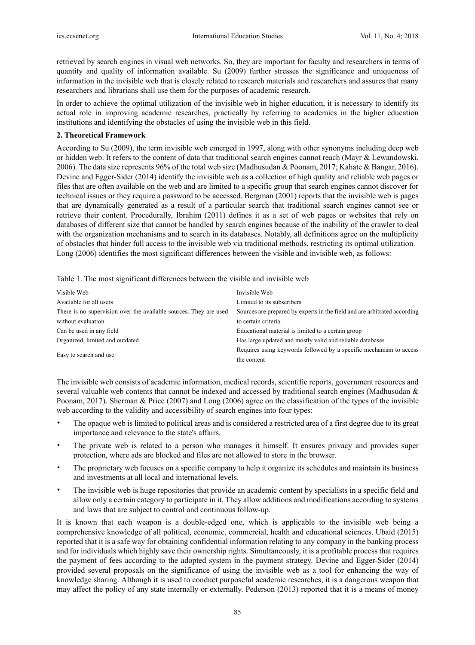retrieved by search engines in visual web networks. So, they are important for faculty and researchers in terms of quantity and quality of information available. Su (2009) further stresses the significance and uniqueness of information in the invisible web that is closely related to research materials and researchers and assures that many researchers and librarians shall use them for the purposes of academic research.

In order to achieve the optimal utilization of the invisible web in higher education, it is necessary to identify its actual role in improving academic researches, practically by referring to academics in the higher education institutions and identifying the obstacles of using the invisible web in this field.

#### **2. Theoretical Framework**

According to Su (2009), the term invisible web emerged in 1997, along with other synonyms including deep web or hidden web. It refers to the content of data that traditional search engines cannot reach (Mayr & Lewandowski, 2006). The data size represents 96% of the total web size (Madhusudan & Poonam, 2017; Kahate & Bangar, 2016). Devine and Egger-Sider (2014) identify the invisible web as a collection of high quality and reliable web pages or files that are often available on the web and are limited to a specific group that search engines cannot discover for technical issues or they require a password to be accessed. Bergman (2001) reports that the invisible web is pages that are dynamically generated as a result of a particular search that traditional search engines cannot see or retrieve their content. Procedurally, Ibrahim (2011) defines it as a set of web pages or websites that rely on databases of different size that cannot be handled by search engines because of the inability of the crawler to deal with the organization mechanisms and to search in its databases. Notably, all definitions agree on the multiplicity of obstacles that hinder full access to the invisible web via traditional methods, restricting its optimal utilization. Long (2006) identifies the most significant differences between the visible and invisible web, as follows:

| Visible Web                                                       | Invisible Web                                                             |
|-------------------------------------------------------------------|---------------------------------------------------------------------------|
| Available for all users                                           | Limited to its subscribers                                                |
| There is no supervision over the available sources. They are used | Sources are prepared by experts in the field and are arbitrated according |
| without evaluation.                                               | to certain criteria.                                                      |
| Can be used in any field                                          | Educational material is limited to a certain group                        |
| Organized, limited and outdated                                   | Has large updated and mostly valid and reliable databases                 |
| Easy to search and use                                            | Requires using keywords followed by a specific mechanism to access        |
|                                                                   | the content                                                               |

Table 1. The most significant differences between the visible and invisible web

The invisible web consists of academic information, medical records, scientific reports, government resources and several valuable web contents that cannot be indexed and accessed by traditional search engines (Madhusudan & Poonam, 2017). Sherman & Price (2007) and Long (2006) agree on the classification of the types of the invisible web according to the validity and accessibility of search engines into four types:

- The opaque web is limited to political areas and is considered a restricted area of a first degree due to its great importance and relevance to the state's affairs.
- The private web is related to a person who manages it himself. It ensures privacy and provides super protection, where ads are blocked and files are not allowed to store in the browser.
- The proprietary web focuses on a specific company to help it organize its schedules and maintain its business and investments at all local and international levels.
- The invisible web is huge repositories that provide an academic content by specialists in a specific field and allow only a certain category to participate in it. They allow additions and modifications according to systems and laws that are subject to control and continuous follow-up.

It is known that each weapon is a double-edged one, which is applicable to the invisible web being a comprehensive knowledge of all political, economic, commercial, health and educational sciences. Ubaid (2015) reported that it is a safe way for obtaining confidential information relating to any company in the banking process and for individuals which highly save their ownership rights. Simultaneously, it is a profitable process that requires the payment of fees according to the adopted system in the payment strategy. Devine and Egger-Sider (2014) provided several proposals on the significance of using the invisible web as a tool for enhancing the way of knowledge sharing. Although it is used to conduct purposeful academic researches, it is a dangerous weapon that may affect the policy of any state internally or externally. Pederson (2013) reported that it is a means of money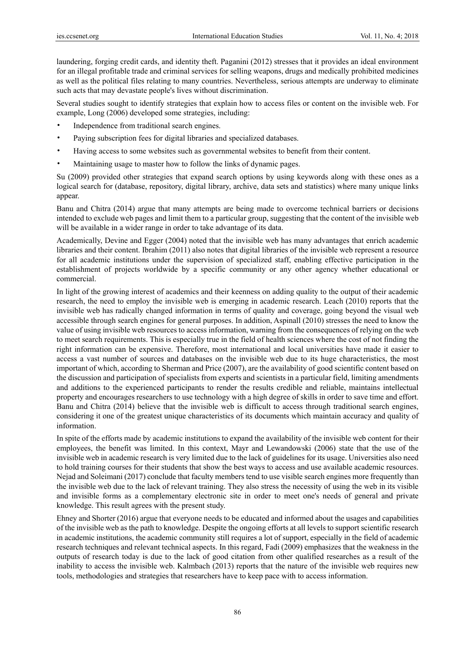laundering, forging credit cards, and identity theft. Paganini (2012) stresses that it provides an ideal environment for an illegal profitable trade and criminal services for selling weapons, drugs and medically prohibited medicines as well as the political files relating to many countries. Nevertheless, serious attempts are underway to eliminate such acts that may devastate people's lives without discrimination.

Several studies sought to identify strategies that explain how to access files or content on the invisible web. For example, Long (2006) developed some strategies, including:

- Independence from traditional search engines.
- Paying subscription fees for digital libraries and specialized databases.
- Having access to some websites such as governmental websites to benefit from their content.
- Maintaining usage to master how to follow the links of dynamic pages.

Su (2009) provided other strategies that expand search options by using keywords along with these ones as a logical search for (database, repository, digital library, archive, data sets and statistics) where many unique links appear.

Banu and Chitra (2014) argue that many attempts are being made to overcome technical barriers or decisions intended to exclude web pages and limit them to a particular group, suggesting that the content of the invisible web will be available in a wider range in order to take advantage of its data.

Academically, Devine and Egger (2004) noted that the invisible web has many advantages that enrich academic libraries and their content. Ibrahim (2011) also notes that digital libraries of the invisible web represent a resource for all academic institutions under the supervision of specialized staff, enabling effective participation in the establishment of projects worldwide by a specific community or any other agency whether educational or commercial.

In light of the growing interest of academics and their keenness on adding quality to the output of their academic research, the need to employ the invisible web is emerging in academic research. Leach (2010) reports that the invisible web has radically changed information in terms of quality and coverage, going beyond the visual web accessible through search engines for general purposes. In addition, Aspinall (2010) stresses the need to know the value of using invisible web resources to access information, warning from the consequences of relying on the web to meet search requirements. This is especially true in the field of health sciences where the cost of not finding the right information can be expensive. Therefore, most international and local universities have made it easier to access a vast number of sources and databases on the invisible web due to its huge characteristics, the most important of which, according to Sherman and Price (2007), are the availability of good scientific content based on the discussion and participation of specialists from experts and scientists in a particular field, limiting amendments and additions to the experienced participants to render the results credible and reliable, maintains intellectual property and encourages researchers to use technology with a high degree of skills in order to save time and effort. Banu and Chitra (2014) believe that the invisible web is difficult to access through traditional search engines, considering it one of the greatest unique characteristics of its documents which maintain accuracy and quality of information.

In spite of the efforts made by academic institutions to expand the availability of the invisible web content for their employees, the benefit was limited. In this context, Mayr and Lewandowski (2006) state that the use of the invisible web in academic research is very limited due to the lack of guidelines for its usage. Universities also need to hold training courses for their students that show the best ways to access and use available academic resources. Nejad and Soleimani (2017) conclude that faculty members tend to use visible search engines more frequently than the invisible web due to the lack of relevant training. They also stress the necessity of using the web in its visible and invisible forms as a complementary electronic site in order to meet one's needs of general and private knowledge. This result agrees with the present study.

Ehney and Shorter (2016) argue that everyone needs to be educated and informed about the usages and capabilities of the invisible web as the path to knowledge. Despite the ongoing efforts at all levels to support scientific research in academic institutions, the academic community still requires a lot of support, especially in the field of academic research techniques and relevant technical aspects. In this regard, Fadi (2009) emphasizes that the weakness in the outputs of research today is due to the lack of good citation from other qualified researches as a result of the inability to access the invisible web. Kalmbach (2013) reports that the nature of the invisible web requires new tools, methodologies and strategies that researchers have to keep pace with to access information.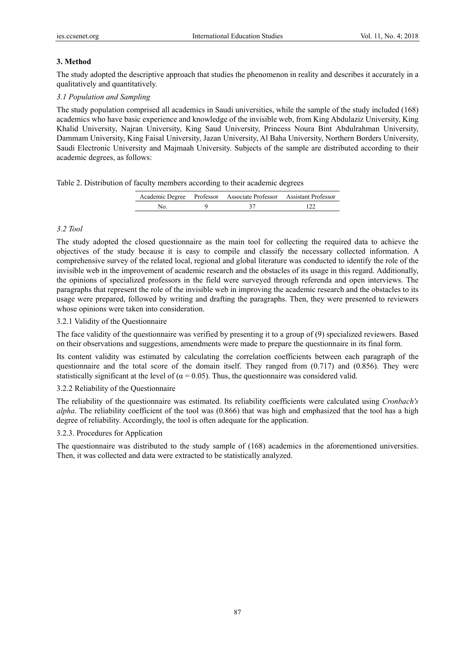# **3. Method**

The study adopted the descriptive approach that studies the phenomenon in reality and describes it accurately in a qualitatively and quantitatively.

## *3.1 Population and Sampling*

The study population comprised all academics in Saudi universities, while the sample of the study included (168) academics who have basic experience and knowledge of the invisible web, from King Abdulaziz University, King Khalid University, Najran University, King Saud University, Princess Noura Bint Abdulrahman University, Dammam University, King Faisal University, Jazan University, Al Baha University, Northern Borders University, Saudi Electronic University and Majmaah University. Subjects of the sample are distributed according to their academic degrees, as follows:

Table 2. Distribution of faculty members according to their academic degrees

|     | Academic Degree Professor Associate Professor Assistant Professor |  |
|-----|-------------------------------------------------------------------|--|
| No. |                                                                   |  |

## *3.2 Tool*

The study adopted the closed questionnaire as the main tool for collecting the required data to achieve the objectives of the study because it is easy to compile and classify the necessary collected information. A comprehensive survey of the related local, regional and global literature was conducted to identify the role of the invisible web in the improvement of academic research and the obstacles of its usage in this regard. Additionally, the opinions of specialized professors in the field were surveyed through referenda and open interviews. The paragraphs that represent the role of the invisible web in improving the academic research and the obstacles to its usage were prepared, followed by writing and drafting the paragraphs. Then, they were presented to reviewers whose opinions were taken into consideration.

## 3.2.1 Validity of the Questionnaire

The face validity of the questionnaire was verified by presenting it to a group of (9) specialized reviewers. Based on their observations and suggestions, amendments were made to prepare the questionnaire in its final form.

Its content validity was estimated by calculating the correlation coefficients between each paragraph of the questionnaire and the total score of the domain itself. They ranged from  $(0.717)$  and  $(0.856)$ . They were statistically significant at the level of ( $\alpha$  = 0.05). Thus, the questionnaire was considered valid.

## 3.2.2 Reliability of the Questionnaire

The reliability of the questionnaire was estimated. Its reliability coefficients were calculated using *Cronbach's alpha*. The reliability coefficient of the tool was (0.866) that was high and emphasized that the tool has a high degree of reliability. Accordingly, the tool is often adequate for the application.

## 3.2.3. Procedures for Application

The questionnaire was distributed to the study sample of (168) academics in the aforementioned universities. Then, it was collected and data were extracted to be statistically analyzed.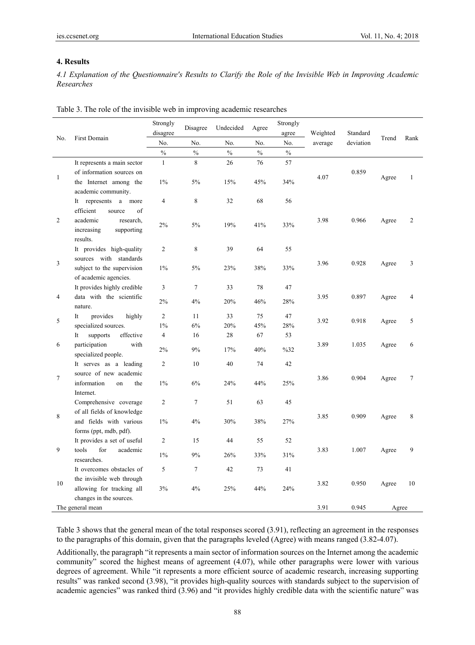#### **4. Results**

*4.1 Explanation of the Questionnaire's Results to Clarify the Role of the Invisible Web in Improving Academic Researches* 

| Table 3. The role of the invisible web in improving academic researches |  |  |  |
|-------------------------------------------------------------------------|--|--|--|

| No.    | <b>First Domain</b>                                                           | Strongly<br>disagree | Disagree      | Undecided | Agree         | Strongly<br>agree | Weighted | Standard  |       |              |
|--------|-------------------------------------------------------------------------------|----------------------|---------------|-----------|---------------|-------------------|----------|-----------|-------|--------------|
|        |                                                                               | No.                  | No.           | No.       | No.           | No.               | average  | deviation | Trend | Rank         |
|        |                                                                               | $\%$                 | $\frac{0}{0}$ | $\%$      | $\frac{0}{0}$ | $\%$              |          |           |       |              |
|        | It represents a main sector                                                   | $\mathbf{1}$         | 8             | 26        | 76            | 57                |          |           |       |              |
| 1      | of information sources on<br>the Internet among the<br>academic community.    | $1\%$                | 5%            | 15%       | 45%           | 34%               | 4.07     | 0.859     | Agree | $\mathbf{1}$ |
|        | It represents<br>a more<br>efficient<br>of<br>source                          | $\overline{4}$       | 8             | 32        | 68            | 56                |          |           |       |              |
| 2      | academic<br>research.<br>increasing<br>supporting<br>results.                 | 2%                   | 5%            | 19%       | 41%           | 33%               | 3.98     | 0.966     | Agree | 2            |
|        | It provides high-quality                                                      | $\overline{c}$       | 8             | 39        | 64            | 55                |          |           |       | 3            |
| 3      | sources with standards<br>subject to the supervision<br>of academic agencies. | $1\%$                | 5%            | 23%       | 38%           | 33%               | 3.96     | 0.928     | Agree |              |
|        | It provides highly credible                                                   | 3                    | 7             | 33        | 78            | 47                |          |           |       |              |
| 4      | data with the scientific<br>nature.                                           | 2%                   | 4%            | 20%       | 46%           | 28%               | 3.95     | 0.897     | Agree | 4            |
|        | provides<br>It<br>highly                                                      | 2                    | 11            | 33        | 75            | 47                | 3.92     | 0.918     | Agree | 5            |
| 5      | specialized sources.                                                          | $1\%$                | 6%            | 20%       | 45%           | 28%               |          |           |       |              |
|        | supports<br>effective<br>It                                                   | $\overline{4}$       | 16            | 28        | 67            | 53                |          |           |       |              |
| 6      | participation<br>with<br>specialized people.                                  | 2%                   | 9%            | 17%       | 40%           | %32               | 3.89     | 1.035     | Agree | 6            |
|        | It serves as a leading                                                        | 2                    | 10            | 40        | 74            | 42                |          |           |       |              |
| $\tau$ | source of new academic<br>information<br>the<br>on<br>Internet.               | $1\%$                | 6%            | 24%       | 44%           | 25%               | 3.86     | 0.904     | Agree | 7            |
|        | Comprehensive coverage                                                        | $\overline{c}$       | 7             | 51        | 63            | 45                |          |           |       |              |
| 8      | of all fields of knowledge                                                    |                      |               |           |               |                   | 3.85     | 0.909     | Agree | 8            |
|        | and fields with various<br>forms (ppt, mdb, pdf).                             | $1\%$                | 4%            | 30%       | 38%           | 27%               |          |           |       |              |
|        | It provides a set of useful                                                   | $\overline{c}$       | 15            | 44        | 55            | 52                |          |           |       |              |
| 9      | tools<br>for<br>academic<br>researches.                                       | $1\%$                | 9%            | 26%       | 33%           | 31%               | 3.83     | 1.007     | Agree | 9            |
|        | It overcomes obstacles of                                                     | 5                    | $\tau$        | 42        | 73            | 41                |          |           |       |              |
| 10     | the invisible web through<br>allowing for tracking all                        | 3%                   | 4%            | 25%       | 44%           | 24%               | 3.82     | 0.950     | Agree | 10           |
|        | changes in the sources.<br>The general mean                                   |                      |               |           |               |                   | 3.91     | 0.945     | Agree |              |

Table 3 shows that the general mean of the total responses scored (3.91), reflecting an agreement in the responses to the paragraphs of this domain, given that the paragraphs leveled (Agree) with means ranged (3.82-4.07).

Additionally, the paragraph "it represents a main sector of information sources on the Internet among the academic community" scored the highest means of agreement (4.07), while other paragraphs were lower with various degrees of agreement. While "it represents a more efficient source of academic research, increasing supporting results" was ranked second (3.98), "it provides high-quality sources with standards subject to the supervision of academic agencies" was ranked third (3.96) and "it provides highly credible data with the scientific nature" was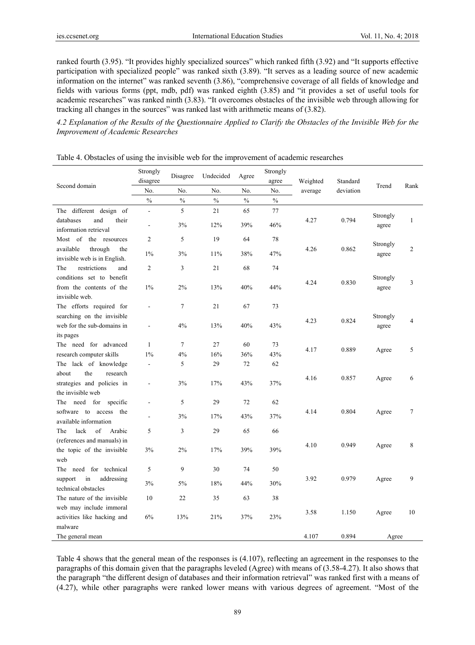ranked fourth (3.95). "It provides highly specialized sources" which ranked fifth (3.92) and "It supports effective participation with specialized people" was ranked sixth (3.89). "It serves as a leading source of new academic information on the internet" was ranked seventh (3.86), "comprehensive coverage of all fields of knowledge and fields with various forms (ppt, mdb, pdf) was ranked eighth (3.85) and "it provides a set of useful tools for academic researches" was ranked ninth (3.83). "It overcomes obstacles of the invisible web through allowing for tracking all changes in the sources" was ranked last with arithmetic means of (3.82).

4.2 Explanation of the Results of the Questionnaire Applied to Clarify the Obstacles of the Invisible Web for the *Improvement of Academic Researches* 

|                                                             | Strongly<br>disagree     | Disagree      | Undecided     | Agree         | Strongly<br>agree | Weighted | Standard<br>deviation |                   | Rank           |
|-------------------------------------------------------------|--------------------------|---------------|---------------|---------------|-------------------|----------|-----------------------|-------------------|----------------|
| Second domain                                               | No.                      | No.           | No.           | No.           | No.               | average  |                       | Trend             |                |
|                                                             | $\frac{0}{0}$            | $\frac{0}{0}$ | $\frac{0}{0}$ | $\frac{0}{0}$ | $\frac{0}{0}$     |          |                       |                   |                |
| The different design of                                     | $\overline{\phantom{a}}$ | 5             | 21            | 65            | 77                |          |                       |                   |                |
| databases<br>and<br>their<br>information retrieval          | $\overline{\phantom{a}}$ | 3%            | 12%           | 39%           | 46%               | 4.27     | 0.794                 | Strongly<br>agree | $\mathbf{1}$   |
| Most of<br>the resources                                    | 2                        | 5             | 19            | 64            | 78                |          |                       |                   |                |
| available<br>through<br>the<br>invisible web is in English. | $1\%$                    | 3%            | 11%           | 38%           | 47%               | 4.26     | 0.862                 | Strongly<br>agree | $\overline{c}$ |
| restrictions<br>The<br>and                                  | $\overline{c}$           | 3             | 21            | 68            | 74                |          |                       |                   |                |
| conditions set to benefit                                   |                          |               |               |               |                   |          |                       | Strongly          |                |
| from the contents of the<br>invisible web.                  | $1\%$                    | 2%            | 13%           | 40%           | 44%               | 4.24     | 0.830                 | agree             | 3              |
|                                                             |                          |               | 21            |               |                   |          |                       |                   |                |
| The efforts required for                                    | $\overline{\phantom{a}}$ | 7             |               | 67            | 73                |          |                       |                   |                |
| searching on the invisible                                  |                          |               |               |               |                   | 4.23     | 0.824                 | Strongly          | $\overline{4}$ |
| web for the sub-domains in                                  | $\overline{\phantom{a}}$ | 4%            | 13%           | 40%           | 43%               |          |                       | agree             |                |
| its pages                                                   |                          |               |               |               |                   |          |                       |                   |                |
| The need for advanced                                       | $\mathbf{1}$             | $\tau$        | 27            | 60            | 73                | 4.17     | 0.889                 | Agree             | 5              |
| research computer skills                                    | $1\%$                    | 4%            | 16%           | 36%           | 43%               |          |                       |                   |                |
| The lack of knowledge                                       | $\mathbf{r}$             | 5             | 29            | 72            | 62                |          |                       |                   |                |
| the<br>research<br>about                                    |                          |               |               |               |                   | 4.16     | 0.857                 |                   | 6              |
| strategies and policies in                                  | $\blacksquare$           | 3%            | 17%           | 43%           | 37%               |          |                       | Agree             |                |
| the invisible web                                           |                          |               |               |               |                   |          |                       |                   |                |
| need for<br>specific<br>The                                 | $\overline{\phantom{a}}$ | 5             | 29            | 72            | 62                |          |                       |                   |                |
| software to access the                                      |                          |               |               |               |                   | 4.14     | 0.804                 | Agree             | 7              |
| available information                                       | $\overline{a}$           | 3%            | 17%           | 43%           | 37%               |          |                       |                   |                |
| lack<br>of<br>Arabic<br>The                                 | 5                        | 3             | 29            | 65            | 66                |          |                       |                   |                |
| (references and manuals) in                                 |                          |               |               |               |                   |          |                       |                   |                |
| the topic of the invisible                                  | 3%                       | 2%            | 17%           | 39%           | 39%               | 4.10     | 0.949                 | Agree             | 8              |
| web                                                         |                          |               |               |               |                   |          |                       |                   |                |
| need for technical<br>The                                   | 5                        | 9             | 30            | 74            | 50                |          |                       |                   |                |
|                                                             |                          |               |               |               |                   |          |                       |                   |                |
| support<br>in<br>addressing                                 | 3%                       | 5%            | 18%           | 44%           | 30%               | 3.92     | 0.979                 | Agree             | 9              |
| technical obstacles                                         |                          |               |               |               |                   |          |                       |                   |                |
| The nature of the invisible                                 | 10                       | 22            | 35            | 63            | 38                |          |                       |                   |                |
| web may include immoral                                     |                          |               |               |               |                   | 3.58     | 1.150                 | Agree             | 10             |
| activities like hacking and                                 | 6%                       | 13%           | 21%           | 37%           | 23%               |          |                       |                   |                |
| malware                                                     |                          |               |               |               |                   |          |                       |                   |                |
| The general mean                                            |                          |               |               |               |                   | 4.107    | 0.894                 | Agree             |                |

Table 4. Obstacles of using the invisible web for the improvement of academic researches

Table 4 shows that the general mean of the responses is (4.107), reflecting an agreement in the responses to the paragraphs of this domain given that the paragraphs leveled (Agree) with means of (3.58-4.27). It also shows that the paragraph "the different design of databases and their information retrieval" was ranked first with a means of (4.27), while other paragraphs were ranked lower means with various degrees of agreement. "Most of the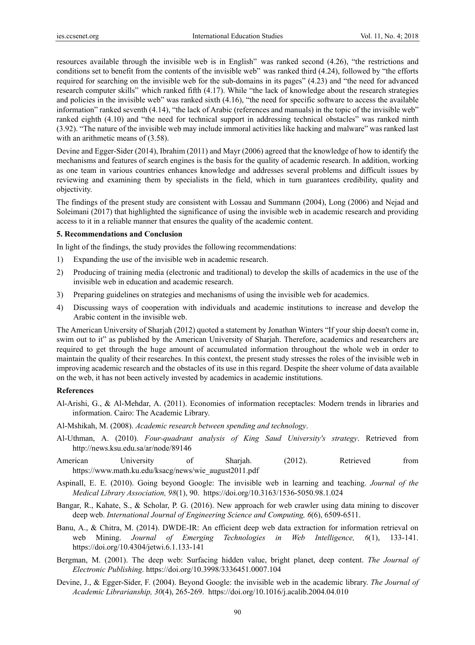resources available through the invisible web is in English" was ranked second (4.26), "the restrictions and conditions set to benefit from the contents of the invisible web" was ranked third (4.24), followed by "the efforts required for searching on the invisible web for the sub-domains in its pages" (4.23) and "the need for advanced research computer skills" which ranked fifth (4.17). While "the lack of knowledge about the research strategies and policies in the invisible web" was ranked sixth (4.16), "the need for specific software to access the available information" ranked seventh (4.14), "the lack of Arabic (references and manuals) in the topic of the invisible web" ranked eighth (4.10) and "the need for technical support in addressing technical obstacles" was ranked ninth (3.92). "The nature of the invisible web may include immoral activities like hacking and malware" was ranked last with an arithmetic means of  $(3.58)$ .

Devine and Egger-Sider (2014), Ibrahim (2011) and Mayr (2006) agreed that the knowledge of how to identify the mechanisms and features of search engines is the basis for the quality of academic research. In addition, working as one team in various countries enhances knowledge and addresses several problems and difficult issues by reviewing and examining them by specialists in the field, which in turn guarantees credibility, quality and objectivity.

The findings of the present study are consistent with Lossau and Summann (2004), Long (2006) and Nejad and Soleimani (2017) that highlighted the significance of using the invisible web in academic research and providing access to it in a reliable manner that ensures the quality of the academic content.

#### **5. Recommendations and Conclusion**

In light of the findings, the study provides the following recommendations:

- 1) Expanding the use of the invisible web in academic research.
- 2) Producing of training media (electronic and traditional) to develop the skills of academics in the use of the invisible web in education and academic research.
- 3) Preparing guidelines on strategies and mechanisms of using the invisible web for academics.
- 4) Discussing ways of cooperation with individuals and academic institutions to increase and develop the Arabic content in the invisible web.

The American University of Sharjah (2012) quoted a statement by Jonathan Winters "If your ship doesn't come in, swim out to it" as published by the American University of Sharjah. Therefore, academics and researchers are required to get through the huge amount of accumulated information throughout the whole web in order to maintain the quality of their researches. In this context, the present study stresses the roles of the invisible web in improving academic research and the obstacles of its use in this regard. Despite the sheer volume of data available on the web, it has not been actively invested by academics in academic institutions.

#### **References**

- Al-Arishi, G., & Al-Mehdar, A. (2011). Economies of information receptacles: Modern trends in libraries and information. Cairo: The Academic Library.
- Al-Mshikah, M. (2008). *Academic research between spending and technology*.
- Al-Uthman, A. (2010). *Four-quadrant analysis of King Saud University's strategy*. Retrieved from http://news.ksu.edu.sa/ar/node/89146
- American University of Sharjah. (2012). Retrieved from https://www.math.ku.edu/ksacg/news/wie\_august2011.pdf
- Aspinall, E. E. (2010). Going beyond Google: The invisible web in learning and teaching. *Journal of the Medical Library Association, 98*(1), 90. https://doi.org/10.3163/1536-5050.98.1.024
- Bangar, R., Kahate, S., & Scholar, P. G. (2016). New approach for web crawler using data mining to discover deep web. *International Journal of Engineering Science and Computing, 6*(6), 6509-6511.
- Banu, A., & Chitra, M. (2014). DWDE-IR: An efficient deep web data extraction for information retrieval on web Mining. *Journal of Emerging Technologies in Web Intelligence, 6*(1), 133-141. https://doi.org/10.4304/jetwi.6.1.133-141
- Bergman, M. (2001). The deep web: Surfacing hidden value, bright planet, deep content. *The Journal of Electronic Publishing*. https://doi.org/10.3998/3336451.0007.104
- Devine, J., & Egger-Sider, F. (2004). Beyond Google: the invisible web in the academic library. *The Journal of Academic Librarianship, 30*(4), 265-269. https://doi.org/10.1016/j.acalib.2004.04.010